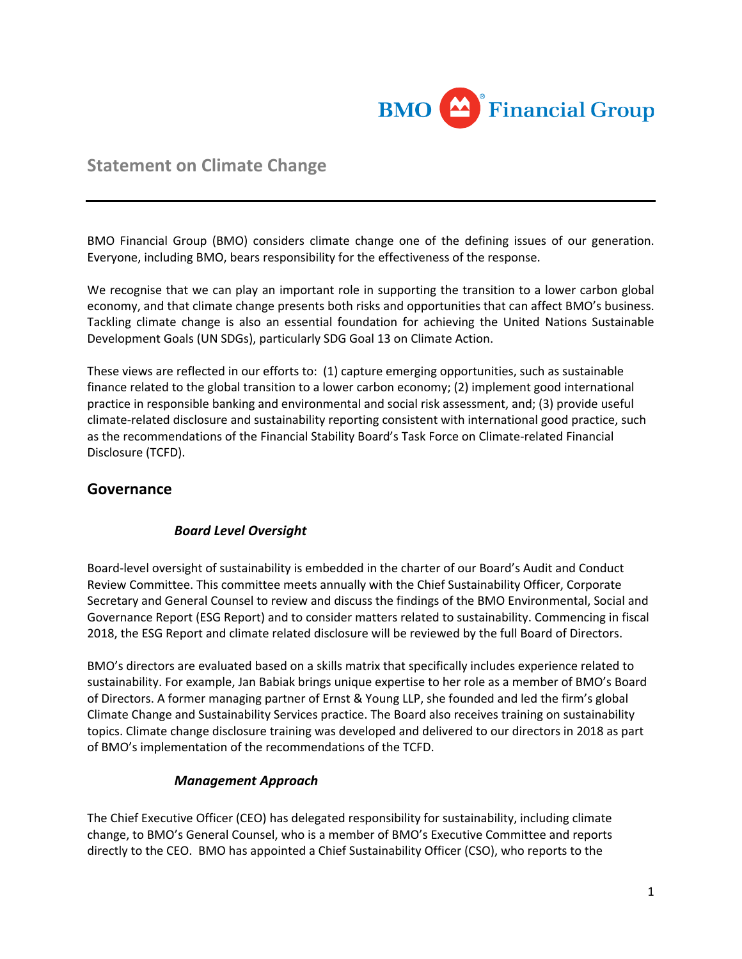

# **Statement on Climate Change**

BMO Financial Group (BMO) considers climate change one of the defining issues of our generation. Everyone, including BMO, bears responsibility for the effectiveness of the response.

We recognise that we can play an important role in supporting the transition to a lower carbon global economy, and that climate change presents both risks and opportunities that can affect BMO's business. Tackling climate change is also an essential foundation for achieving the United Nations Sustainable Development Goals (UN SDGs), particularly SDG Goal 13 on Climate Action.

These views are reflected in our efforts to: (1) capture emerging opportunities, such as sustainable finance related to the global transition to a lower carbon economy; (2) implement good international practice in responsible banking and environmental and social risk assessment, and; (3) provide useful climate-related disclosure and sustainability reporting consistent with international good practice, such as the recommendations of the Financial Stability Board's Task Force on Climate-related Financial Disclosure (TCFD).

### **Governance**

#### *Board Level Oversight*

Board-level oversight of sustainability is embedded in the charter of our Board's Audit and Conduct Review Committee. This committee meets annually with the Chief Sustainability Officer, Corporate Secretary and General Counsel to review and discuss the findings of the BMO Environmental, Social and Governance Report (ESG Report) and to consider matters related to sustainability. Commencing in fiscal 2018, the ESG Report and climate related disclosure will be reviewed by the full Board of Directors.

BMO's directors are evaluated based on a skills matrix that specifically includes experience related to sustainability. For example, Jan Babiak brings unique expertise to her role as a member of BMO's Board of Directors. A former managing partner of Ernst & Young LLP, she founded and led the firm's global Climate Change and Sustainability Services practice. The Board also receives training on sustainability topics. Climate change disclosure training was developed and delivered to our directors in 2018 as part of BMO's implementation of the recommendations of the TCFD.

#### *Management Approach*

The Chief Executive Officer (CEO) has delegated responsibility for sustainability, including climate change, to BMO's General Counsel, who is a member of BMO's Executive Committee and reports directly to the CEO. BMO has appointed a Chief Sustainability Officer (CSO), who reports to the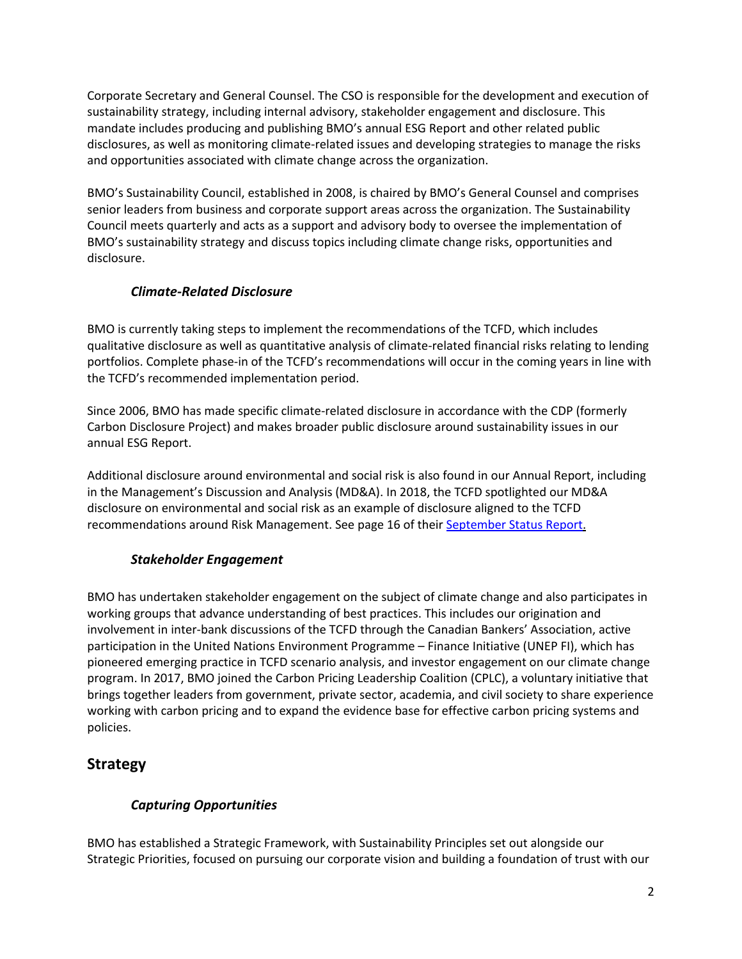Corporate Secretary and General Counsel. The CSO is responsible for the development and execution of sustainability strategy, including internal advisory, stakeholder engagement and disclosure. This mandate includes producing and publishing BMO's annual ESG Report and other related public disclosures, as well as monitoring climate-related issues and developing strategies to manage the risks and opportunities associated with climate change across the organization.

BMO's Sustainability Council, established in 2008, is chaired by BMO's General Counsel and comprises senior leaders from business and corporate support areas across the organization. The Sustainability Council meets quarterly and acts as a support and advisory body to oversee the implementation of BMO's sustainability strategy and discuss topics including climate change risks, opportunities and disclosure.

### *Climate-Related Disclosure*

BMO is currently taking steps to implement the recommendations of the TCFD, which includes qualitative disclosure as well as quantitative analysis of climate-related financial risks relating to lending portfolios. Complete phase-in of the TCFD's recommendations will occur in the coming years in line with the TCFD's recommended implementation period.

Since 2006, BMO has made specific climate-related disclosure in accordance with the CDP (formerly Carbon Disclosure Project) and makes broader public disclosure around sustainability issues in our annual ESG Report.

Additional disclosure around environmental and social risk is also found in our Annual Report, including in the Management's Discussion and Analysis (MD&A). In 2018, the TCFD spotlighted our MD&A disclosure on environmental and social risk as an example of disclosure aligned to the TCFD recommendations around Risk Management. See page 16 of their [September Status Report](https://www.fsb-tcfd.org/wp-content/uploads/2018/08/FINAL-2018-TCFD-Status-Report-092518.pdf).

### *Stakeholder Engagement*

BMO has undertaken stakeholder engagement on the subject of climate change and also participates in working groups that advance understanding of best practices. This includes our origination and involvement in inter-bank discussions of the TCFD through the Canadian Bankers' Association, active participation in the United Nations Environment Programme – Finance Initiative (UNEP FI), which has pioneered emerging practice in TCFD scenario analysis, and investor engagement on our climate change program. In 2017, BMO joined the Carbon Pricing Leadership Coalition (CPLC), a voluntary initiative that brings together leaders from government, private sector, academia, and civil society to share experience working with carbon pricing and to expand the evidence base for effective carbon pricing systems and policies.

## **Strategy**

### *Capturing Opportunities*

BMO has established a Strategic Framework, with Sustainability Principles set out alongside our Strategic Priorities, focused on pursuing our corporate vision and building a foundation of trust with our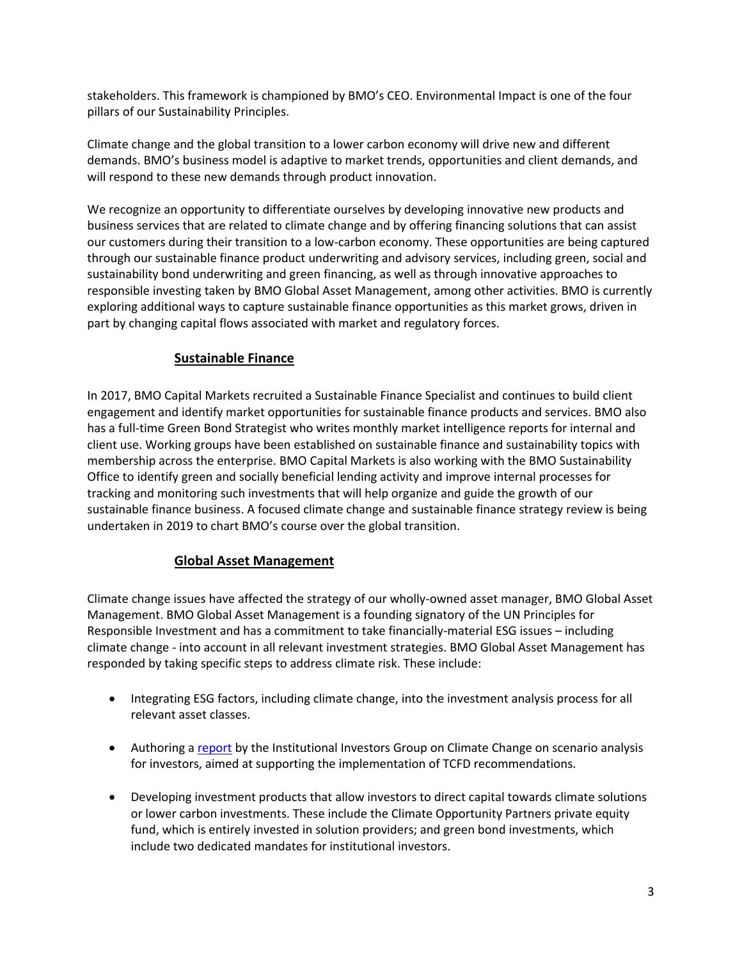stakeholders. This framework is championed by BMO's CEO. Environmental Impact is one of the four pillars of our Sustainability Principles.

Climate change and the global transition to a lower carbon economy will drive new and different demands. BMO's business model is adaptive to market trends, opportunities and client demands, and will respond to these new demands through product innovation.

We recognize an opportunity to differentiate ourselves by developing innovative new products and business services that are related to climate change and by offering financing solutions that can assist our customers during their transition to a low-carbon economy. These opportunities are being captured through our sustainable finance product underwriting and advisory services, including green, social and sustainability bond underwriting and green financing, as well as through innovative approaches to responsible investing taken by BMO Global Asset Management, among other activities. BMO is currently exploring additional ways to capture sustainable finance opportunities as this market grows, driven in part by changing capital flows associated with market and regulatory forces.

#### **Sustainable Finance**

In 2017, BMO Capital Markets recruited a Sustainable Finance Specialist and continues to build client engagement and identify market opportunities for sustainable finance products and services. BMO also has a full-time Green Bond Strategist who writes monthly market intelligence reports for internal and client use. Working groups have been established on sustainable finance and sustainability topics with membership across the enterprise. BMO Capital Markets is also working with the BMO Sustainability Office to identify green and socially beneficial lending activity and improve internal processes for tracking and monitoring such investments that will help organize and guide the growth of our sustainable finance business. A focused climate change and sustainable finance strategy review is being undertaken in 2019 to chart BMO's course over the global transition.

#### **Global Asset Management**

Climate change issues have affected the strategy of our wholly-owned asset manager, BMO Global Asset Management. BMO Global Asset Management is a founding signatory of the UN Principles for Responsible Investment and has a commitment to take financially-material ESG issues – including climate change - into account in all relevant investment strategies. BMO Global Asset Management has responded by taking specific steps to address climate risk. These include:

- Integrating ESG factors, including climate change, into the investment analysis process for all relevant asset classes.
- Authoring a [report](http://www.iigcc.org/files/publication-files/Navigating_climate_scenario_analysis_-_a_guide_for_institutional_investors.pdf) by the Institutional Investors Group on Climate Change on scenario analysis for investors, aimed at supporting the implementation of TCFD recommendations.
- Developing investment products that allow investors to direct capital towards climate solutions or lower carbon investments. These include the Climate Opportunity Partners private equity fund, which is entirely invested in solution providers; and green bond investments, which include two dedicated mandates for institutional investors.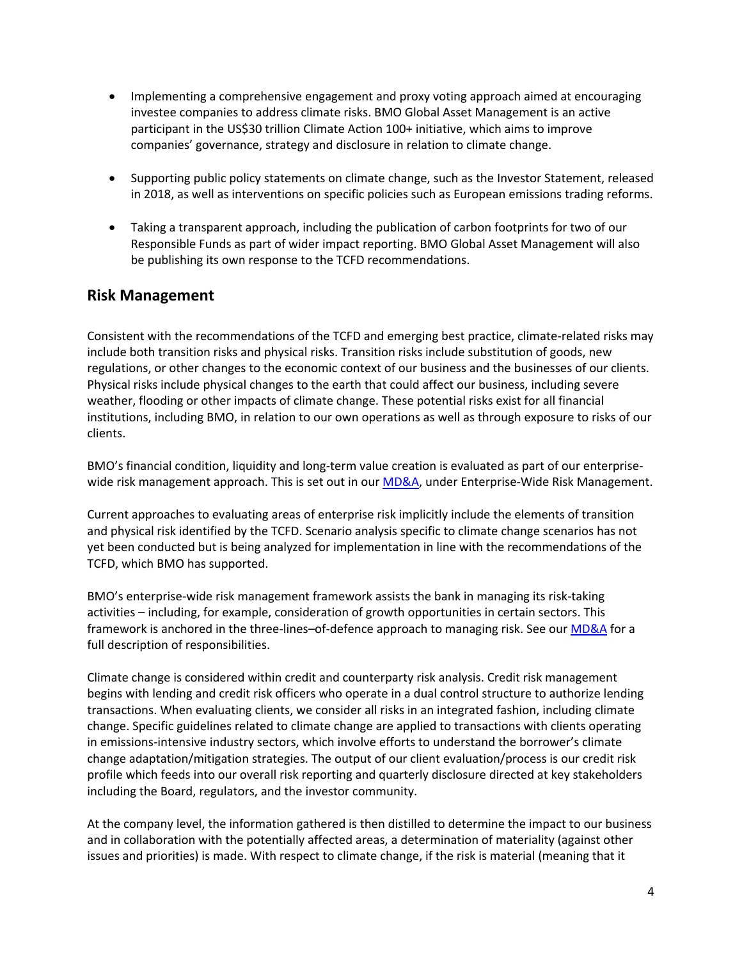- Implementing a comprehensive engagement and proxy voting approach aimed at encouraging investee companies to address climate risks. BMO Global Asset Management is an active participant in the US\$30 trillion Climate Action 100+ initiative, which aims to improve companies' governance, strategy and disclosure in relation to climate change.
- Supporting public policy statements on climate change, such as the Investor Statement, released in 2018, as well as interventions on specific policies such as European emissions trading reforms.
- Taking a transparent approach, including the publication of carbon footprints for two of our Responsible Funds as part of wider impact reporting. BMO Global Asset Management will also be publishing its own response to the TCFD recommendations.

### **Risk Management**

Consistent with the recommendations of the TCFD and emerging best practice, climate-related risks may include both transition risks and physical risks. Transition risks include substitution of goods, new regulations, or other changes to the economic context of our business and the businesses of our clients. Physical risks include physical changes to the earth that could affect our business, including severe weather, flooding or other impacts of climate change. These potential risks exist for all financial institutions, including BMO, in relation to our own operations as well as through exposure to risks of our clients.

BMO's financial condition, liquidity and long-term value creation is evaluated as part of our enterprise-wide risk management approach. This is set out in our [MD&A,](https://www.bmo.com/home/about/banking/investor-relations/annual-reports-proxy-circulars) under Enterprise-Wide Risk Management.

Current approaches to evaluating areas of enterprise risk implicitly include the elements of transition and physical risk identified by the TCFD. Scenario analysis specific to climate change scenarios has not yet been conducted but is being analyzed for implementation in line with the recommendations of the TCFD, which BMO has supported.

BMO's enterprise-wide risk management framework assists the bank in managing its risk-taking activities – including, for example, consideration of growth opportunities in certain sectors. This framework is anchored in the three-lines-of-defence approach to managing risk. See our [MD&A](https://www.bmo.com/home/about/banking/investor-relations/annual-reports-proxy-circulars) for a full description of responsibilities.

Climate change is considered within credit and counterparty risk analysis. Credit risk management begins with lending and credit risk officers who operate in a dual control structure to authorize lending transactions. When evaluating clients, we consider all risks in an integrated fashion, including climate change. Specific guidelines related to climate change are applied to transactions with clients operating in emissions-intensive industry sectors, which involve efforts to understand the borrower's climate change adaptation/mitigation strategies. The output of our client evaluation/process is our credit risk profile which feeds into our overall risk reporting and quarterly disclosure directed at key stakeholders including the Board, regulators, and the investor community.

At the company level, the information gathered is then distilled to determine the impact to our business and in collaboration with the potentially affected areas, a determination of materiality (against other issues and priorities) is made. With respect to climate change, if the risk is material (meaning that it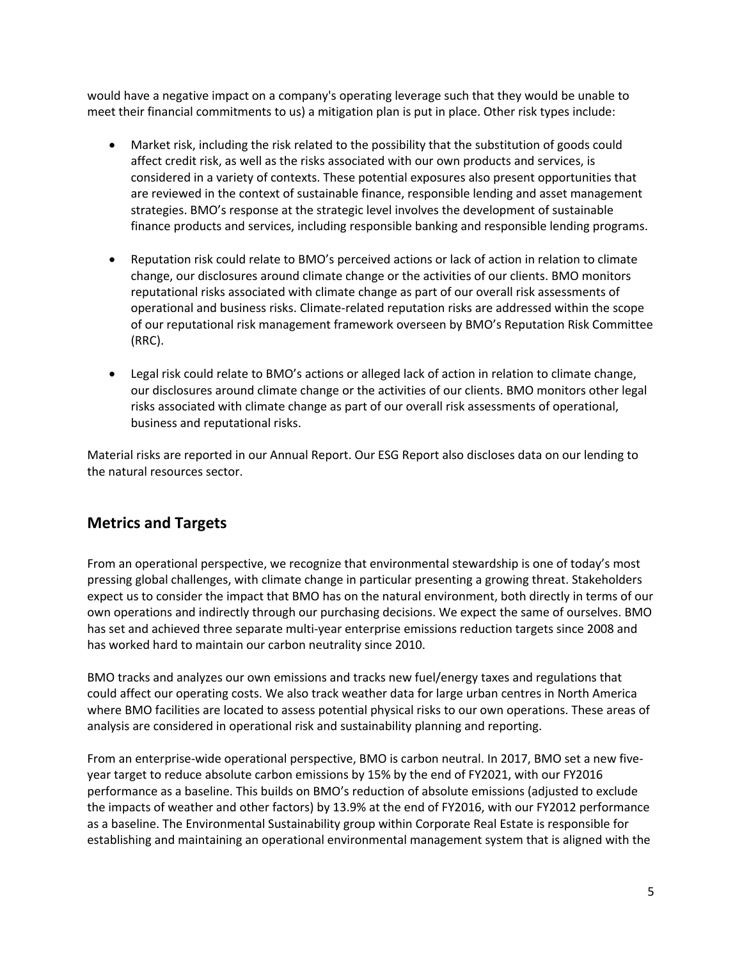would have a negative impact on a company's operating leverage such that they would be unable to meet their financial commitments to us) a mitigation plan is put in place. Other risk types include:

- Market risk, including the risk related to the possibility that the substitution of goods could affect credit risk, as well as the risks associated with our own products and services, is considered in a variety of contexts. These potential exposures also present opportunities that are reviewed in the context of sustainable finance, responsible lending and asset management strategies. BMO's response at the strategic level involves the development of sustainable finance products and services, including responsible banking and responsible lending programs.
- Reputation risk could relate to BMO's perceived actions or lack of action in relation to climate change, our disclosures around climate change or the activities of our clients. BMO monitors reputational risks associated with climate change as part of our overall risk assessments of operational and business risks. Climate-related reputation risks are addressed within the scope of our reputational risk management framework overseen by BMO's Reputation Risk Committee (RRC).
- Legal risk could relate to BMO's actions or alleged lack of action in relation to climate change, our disclosures around climate change or the activities of our clients. BMO monitors other legal risks associated with climate change as part of our overall risk assessments of operational, business and reputational risks.

Material risks are reported in our Annual Report. Our ESG Report also discloses data on our lending to the natural resources sector.

## **Metrics and Targets**

From an operational perspective, we recognize that environmental stewardship is one of today's most pressing global challenges, with climate change in particular presenting a growing threat. Stakeholders expect us to consider the impact that BMO has on the natural environment, both directly in terms of our own operations and indirectly through our purchasing decisions. We expect the same of ourselves. BMO has set and achieved three separate multi-year enterprise emissions reduction targets since 2008 and has worked hard to maintain our carbon neutrality since 2010.

BMO tracks and analyzes our own emissions and tracks new fuel/energy taxes and regulations that could affect our operating costs. We also track weather data for large urban centres in North America where BMO facilities are located to assess potential physical risks to our own operations. These areas of analysis are considered in operational risk and sustainability planning and reporting.

From an enterprise-wide operational perspective, BMO is carbon neutral. In 2017, BMO set a new fiveyear target to reduce absolute carbon emissions by 15% by the end of FY2021, with our FY2016 performance as a baseline. This builds on BMO's reduction of absolute emissions (adjusted to exclude the impacts of weather and other factors) by 13.9% at the end of FY2016, with our FY2012 performance as a baseline. The Environmental Sustainability group within Corporate Real Estate is responsible for establishing and maintaining an operational environmental management system that is aligned with the